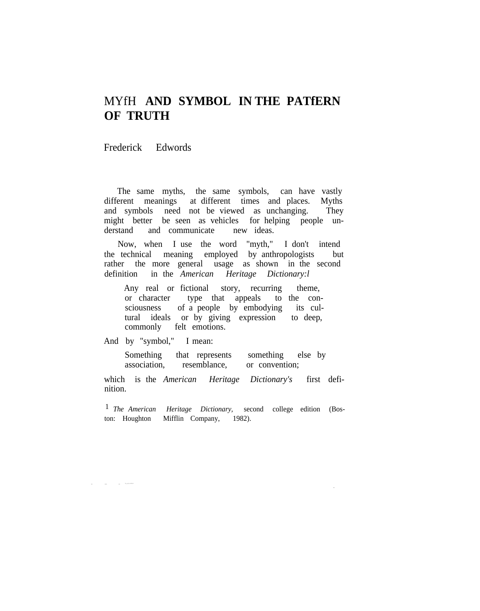## MYfH **AND SYMBOL IN THE PATfERN OF TRUTH**

Frederick Edwords

The same myths, the same symbols, can have vastly different meanings at different times and places. Myths and symbols need not be viewed as unchanging. They might better be seen as vehicles for helping people understand and communicate new ideas.

Now, when I use the word "myth," I don't intend the technical meaning employed by anthropologists but rather the more general usage as shown in the second definition in the *American Heritage Dictionary:l*

Any real or fictional story, recurring theme, or character type that appeals to the consciousness of a people by embodying its cultural ideals or by giving expression to deep, commonly felt emotions.

And by "symbol," I mean:

-- --- -- -....-..-.--.-

Something that represents something else by association, resemblance, or convention;

which is the *American Heritage Dictionary's* first definition.

1 *The American Heritage Dictionary,* second college edition (Boston: Houghton Mifflin Company, 1982).

-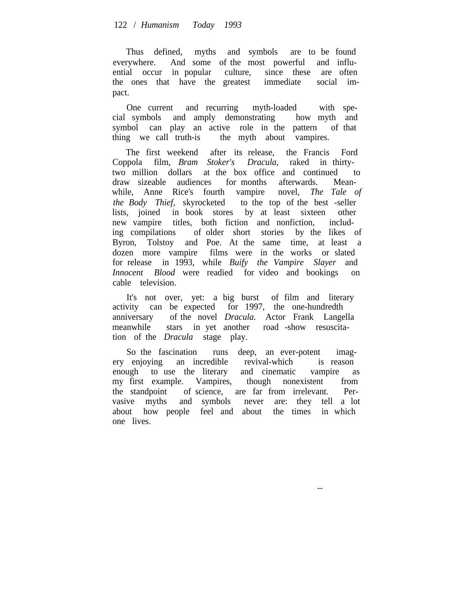Thus defined, myths and symbols are to be found everywhere. And some of the most powerful and influential occur in popular culture, since these are often the ones that have the greatest immediate social impact.

One current and recurring myth-loaded with special symbols and amply demonstrating how myth and symbol can play an active role in the pattern of that thing we call truth-is the myth about vampires.

The first weekend after its release, the Francis Ford Coppola film, *Bram Stoker's Dracula,* raked in thirtytwo million dollars at the box office and continued to draw sizeable audiences for months afterwards. Meanwhile, Anne Rice's fourth vampire novel, *The Tale of the Body Thief,* skyrocketed to the top of the best -seller lists, joined in book stores by at least sixteen other new vampire titles, both fiction and nonfiction, including compilations of older short stories by the likes of Byron, Tolstoy and Poe. At the same time, at least a dozen more vampire films were in the works or slated for release in 1993, while *Buify the Vampire Slayer* and *Innocent Blood* were readied for video and bookings on cable television.

It's not over, yet: a big burst of film and literary activity can be expected for 1997, the one-hundredth anniversary of the novel *Dracula.* Actor Frank Langella meanwhile stars in yet another road -show resuscitation of the *Dracula* stage play.

So the fascination runs deep, an ever-potent imagery enjoying an incredible revival-which is reason enough to use the literary and cinematic vampire as my first example. Vampires, though nonexistent from the standpoint of science, are far from irrelevant. Pervasive myths and symbols never are: they tell a lot about how people feel and about the times in which one lives.

--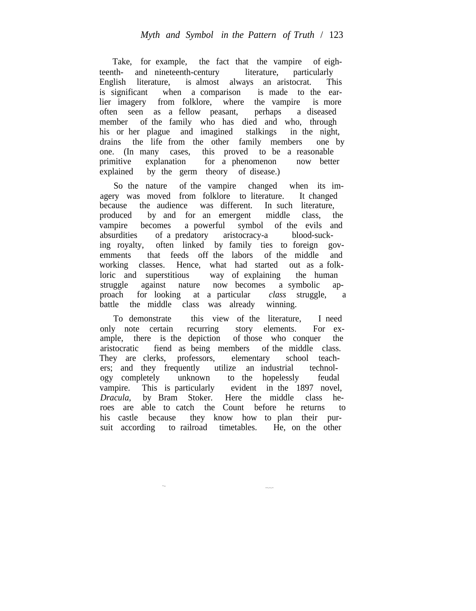Take, for example, the fact that the vampire of eighteenth- and nineteenth-century literature, particularly English literature, is almost always an aristocrat. This is significant when a comparison is made to the earlier imagery from folklore, where the vampire is more often seen as a fellow peasant, perhaps a diseased member of the family who has died and who, through his or her plague and imagined stalkings in the night, drains the life from the other family members one by one. (In many cases, this proved to be a reasonable primitive explanation for a phenomenon now better explained by the germ theory of disease.)

So the nature of the vampire changed when its imagery was moved from folklore to literature. It changed because the audience was different. In such literature, produced by and for an emergent middle class, the vampire becomes a powerful symbol of the evils and absurdities of a predatory aristocracy-a blood-sucking royalty, often linked by family ties to foreign govemments that feeds off the labors of the middle and working classes. Hence, what had started out as a folkloric and superstitious way of explaining the human struggle against nature now becomes a symbolic approach for looking at a particular *class* struggle, a battle the middle class was already winning.

To demonstrate this view of the literature, I need only note certain recurring story elements. For example, there is the depiction of those who conquer the aristocratic fiend as being members of the middle class. They are clerks, professors, elementary school teachers; and they frequently utilize an industrial technology completely unknown to the hopelessly feudal vampire. This is particularly evident in the 1897 novel, *Dracula,* by Bram Stoker. Here the middle class heroes are able to catch the Count before he returns to his castle because they know how to plan their pursuit according to railroad timetables. He, on the other

---.--.--

~--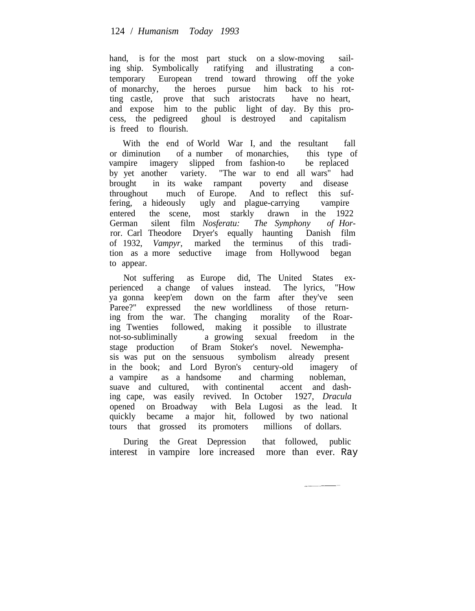hand, is for the most part stuck on a slow-moving sailing ship. Symbolically ratifying and illustrating a contemporary European trend toward throwing off the yoke of monarchy, the heroes pursue him back to his rotting castle, prove that such aristocrats have no heart, and expose him to the public light of day. By this process, the pedigreed ghoul is destroyed and capitalism is freed to flourish.

With the end of World War I, and the resultant fall or diminution of a number of monarchies, this type of vampire imagery slipped from fashion-to by yet another variety. "The war to end all wars" had brought in its wake rampant poverty and disease throughout much of Europe. And to reflect this suffering, a hideously ugly and plague-carrying vampire entered the scene, most starkly drawn in the 1922 German silent film *Nosferatu: The Symphony of Hor*ror. Carl Theodore Dryer's equally haunting Danish film of 1932, *Vampyr,* marked the terminus of this tradition as a more seductive image from Hollywood began to appear.

Not suffering as Europe did, The United States experienced a change of values instead. The lyrics, "How ya gonna keep'em down on the farm after they've seen Paree?" expressed the new worldliness of those returning from the war. The changing morality of the Roaring Twenties followed, making it possible to illustrate not-so-subliminally a growing sexual freedom in the stage production of Bram Stoker's novel. Newemphasis was put on the sensuous symbolism already present in the book; and Lord Byron's century-old imagery of a vampire as a handsome and charming nobleman, suave and cultured, with continental accent and dashing cape, was easily revived. In October 1927, *Dracula* opened on Broadway with Bela Lugosi as the lead. It quickly became a major hit, followed by two national tours that grossed its promoters millions of dollars.

During the Great Depression that followed, public interest in vampire lore increased more than ever. Ray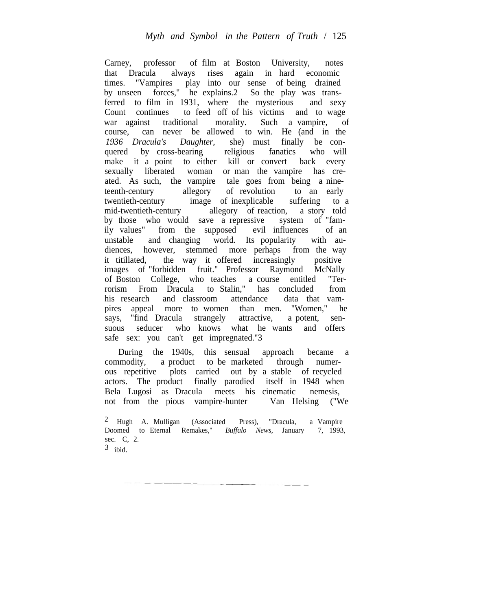Carney, professor of film at Boston University, notes that Dracula always rises again in hard economic times. "Vampires play into our sense of being drained by unseen forces," he explains.2 So the play was transferred to film in 1931, where the mysterious and sexy Count continues to feed off of his victims and to wage war against traditional morality. Such a vampire, of course, can never be allowed to win. He (and in the *1936 Dracula's Daughter,* she) must finally be conquered by cross-bearing religious fanatics who will make it a point to either kill or convert back every sexually liberated woman or man the vampire has created. As such, the vampire tale goes from being a nineteenth-century allegory of revolution to an early twentieth-century image of inexplicable suffering to a mid-twentieth-century allegory of reaction, a story told by those who would save a repressive system of "family values" from the supposed evil influences of an unstable and changing world. Its popularity with audiences, however, stemmed more perhaps from the way it titillated, the way it offered increasingly positive images of "forbidden fruit." Professor Raymond McNally of Boston College, who teaches a course entitled "Terrorism From Dracula to Stalin," has concluded from his research and classroom attendance data that vampires appeal more to women than men. "Women," he says, "find Dracula strangely attractive, a potent, sensuous seducer who knows what he wants and offers safe sex: you can't get impregnated."3

During the 1940s, this sensual approach became a commodity, a product to be marketed through numerous repetitive plots carried out by a stable of recycled actors. The product finally parodied itself in 1948 when Bela Lugosi as Dracula meets his cinematic nemesis, not from the pious vampire-hunter Van Helsing ("We

 $3$  ibid.

<sup>2</sup> Hugh A. Mulligan (Associated Press), "Dracula, a Vampire Doomed to Eternal Remakes," *Buffalo News,* January 7, 1993, sec. C, 2.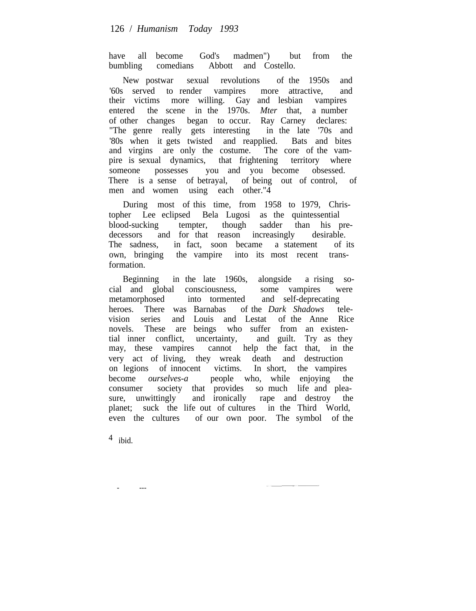have all become God's madmen") but from the bumbling comedians Abbott and Costello.

New postwar sexual revolutions of the 1950s and '60s served to render vampires more attractive, and their victims more willing. Gay and lesbian vampires entered the scene in the 1970s. *Mter* that, a number of other changes began to occur. Ray Carney declares: "The genre really gets interesting in the late '70s and '80s when it gets twisted and reapplied. Bats and bites and virgins are only the costume. The core of the vampire is sexual dynamics, that frightening territory where someone possesses you and you become obsessed. There is a sense of betrayal, of being out of control, of men and women using each other."4

During most of this time, from 1958 to 1979, Christopher Lee eclipsed Bela Lugosi as the quintessential blood-sucking tempter, though sadder than his predecessors and for that reason increasingly desirable. The sadness, in fact, soon became a statement of its own, bringing the vampire into its most recent transformation.

Beginning in the late 1960s, alongside a rising social and global consciousness, some vampires were metamorphosed into tormented and self-deprecating heroes. There was Barnabas of the *Dark Shadows* television series and Louis and Lestat of the Anne Rice novels. These are beings who suffer from an existential inner conflict, uncertainty, and guilt. Try as they may, these vampires cannot help the fact that, in the very act of living, they wreak death and destruction on legions of innocent victims. In short, the vampires become *ourselves-a* people who, while enjoying the become *ourselves-a* people who, while enjoying the consumer society that provides so much life and pleasure, unwittingly and ironically rape and destroy the planet; suck the life out of cultures in the Third World, even the cultures of our own poor. The symbol of the

 $4$  ibid.

- ---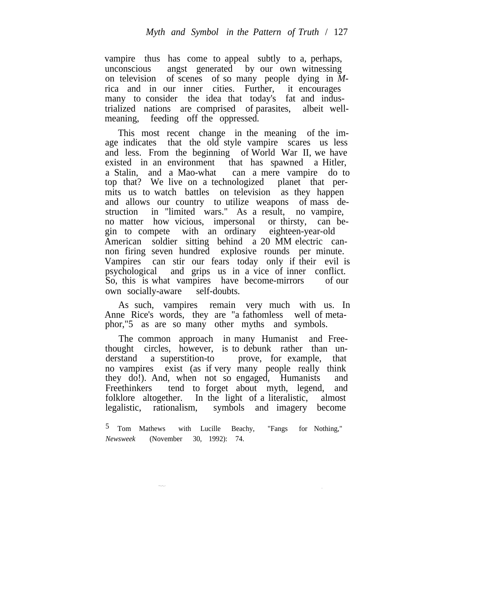vampire thus has come to appeal subtly to a, perhaps, unconscious angst generated by our own witnessing on television of scenes of so many people dying in *M*rica and in our inner cities. Further, it encourages many to consider the idea that today's fat and industrialized nations are comprised of parasites, albeit wellmeaning, feeding off the oppressed.

This most recent change in the meaning of the image indicates that the old style vampire scares us less and less. From the beginning of World War II, we have existed in an environment that has spawned a Hitler, a Stalin, and a Mao-what can a mere vampire do to top that? We live on a technologized planet that permits us to watch battles on television as they happen and allows our country to utilize weapons of mass destruction in "limited wars." As a result, no vampire, no matter how vicious, impersonal or thirsty, can begin to compete with an ordinary eighteen-year-old American soldier sitting behind a 20 MM electric cannon firing seven hundred explosive rounds per minute. Vampires can stir our fears today only if their evil is psychological and grips us in a vice of inner conflict. So, this is what vampires have become-mirrors of our own socially-aware self-doubts.

As such, vampires remain very much with us. In Anne Rice's words, they are "a fathomless well of metaphor,"5 as are so many other myths and symbols.

The common approach in many Humanist and Freethought circles, however, is to debunk rather than understand a superstition-to prove, for example. that a superstition-to prove, for example, that no vampires exist (as if very many people really think they do!). And, when not so engaged, Humanists and Freethinkers tend to forget about myth, legend, and folklore altogether. In the light of a literalistic, almost legalistic, rationalism, symbols and imagery become

5 Tom Mathews with Lucille Beachy, "Fangs for Nothing," *Newsweek* (November 30, 1992): 74.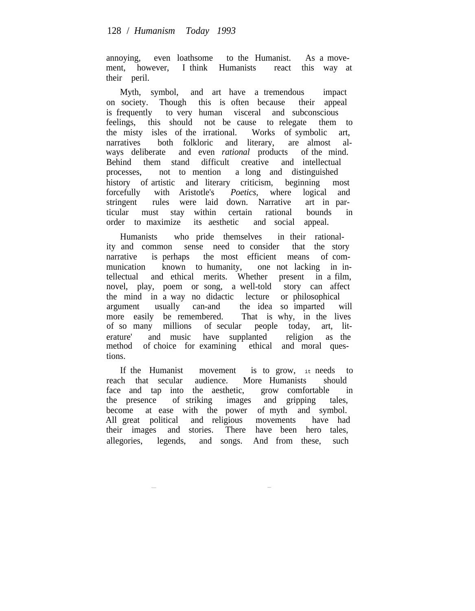annoying, even loathsome to the Humanist. As a movement, however, I think Humanists react this way at their peril.

Myth, symbol, and art have a tremendous impact on society. Though this is often because their appeal is frequently to very human visceral and subconscious feelings, this should not be cause to relegate them to the misty isles of the irrational. Works of symbolic art, narratives both folkloric and literary, are almost always deliberate and even *rational* products of the mind. Behind them stand difficult creative and intellectual processes, not to mention a long and distinguished history of artistic and literary criticism, beginning most<br>forcefully with Aristotle's *Poetics*, where logical and forcefully with Aristotle's *Poetics,* where logical and stringent rules were laid down. Narrative art in particular must stay within certain rational bounds in order to maximize its aesthetic and social appeal.

Humanists who pride themselves in their rationality and common sense need to consider that the story narrative is perhaps the most efficient means of communication known to humanity, one not lacking in intellectual and ethical merits. Whether present in a film, novel, play, poem or song, a well-told story can affect the mind in a way no didactic lecture or philosophical argument usually can-and the idea so imparted will more easily be remembered. That is why, in the lives of so many millions of secular people today, art, literature' and music have supplanted religion as the method of choice for examining ethical and moral questions.

If the Humanist movement is to grow, it needs to reach that secular audience. More Humanists should face and tan into the aesthetic. grow comfortable in face and tap into the aesthetic, grow comfortable the presence of striking images and gripping tales, become at ease with the power of myth and symbol. All great political and religious movements have had their images and stories. There have been hero tales, allegories, legends, and songs. And from these, such

~----- -----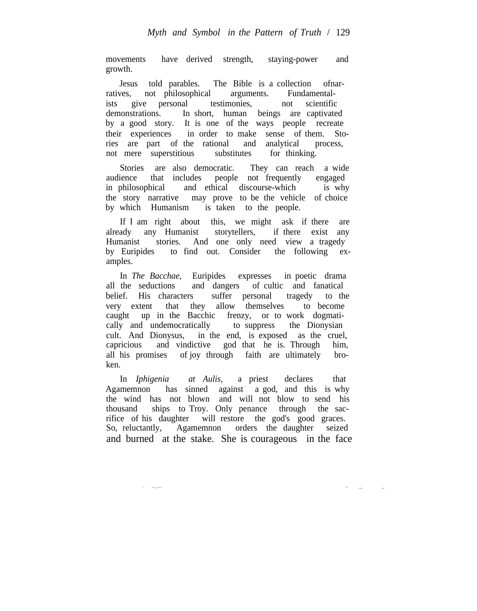movements have derived strength, staying-power and growth.

Jesus told parables. The Bible is a collection ofnarratives, not philosophical arguments. Fundamentalists give personal testimonies, not scientific demonstrations. In short, human beings are captivated by a good story. It is one of the ways people recreate their experiences in order to make sense of them. Stories are part of the rational and analytical process, not mere superstitious substitutes for thinking.

Stories are also democratic. They can reach a wide audience that includes people not frequently engaged in philosophical and ethical discourse-which is why the story narrative may prove to be the vehicle of choice by which Humanism is taken to the people.

If I am right about this, we might ask if there are already any Humanist storytellers, if there exist any Humanist stories. And one only need view a tragedy by Euripides to find out. Consider the following examples.

In *The Bacchae,* Euripides expresses in poetic drama all the seductions and dangers of cultic and fanatical belief. His characters suffer personal tragedy to the very extent that they allow themselves to become caught up in the Bacchic frenzy, or to work dogmatically and undemocratically to suppress the Dionysian cult. And Dionysus, in the end, is exposed as the cruel, capricious and vindictive god that he is. Through him, all his promises of joy through faith are ultimately broken.

In *Iphigenia at Aulis,* a priest declares that Agamemnon has sinned against a god, and this is why the wind has not blown and will not blow to send his thousand ships to Troy. Only penance through the sacrifice of his daughter will restore the god's good graces. So, reluctantly, Agamemnon orders the daughter seized and burned at the stake. She is courageous in the face

--- --

- ---.\_----- --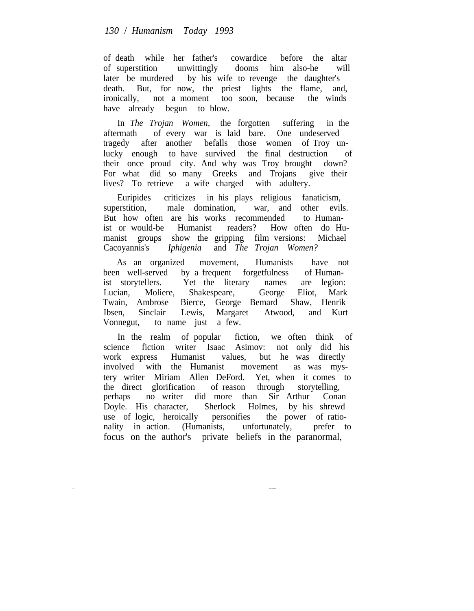## *130* / *Humanism Today 1993*

of death while her father's cowardice before the altar of superstition unwittingly dooms him also-he will later be murdered by his wife to revenge the daughter's death. But, for now, the priest lights the flame, and, ironically, not a moment too soon, because the winds have already begun to blow.

In *The Trojan Women,* the forgotten suffering in the aftermath of every war is laid bare. One undeserved tragedy after another befalls those women of Troy unlucky enough to have survived the final destruction of their once proud city. And why was Troy brought down? For what did so many Greeks and Trojans give their lives? To retrieve a wife charged with adultery.

Euripides criticizes in his plays religious fanaticism, superstition, male domination, war, and other evils. But how often are his works recommended to Humanist or would-be Humanist readers? How often do Humanist groups show the gripping film versions: Michael Cacoyannis's *Iphigenia* and *The Trojan Women?*

As an organized movement, Humanists have not been well-served by a frequent forgetfulness of Humanist storytellers. Yet the literary names are legion: Lucian, Moliere, Shakespeare, George Eliot, Mark Twain, Ambrose Bierce, George Bemard Shaw, Henrik Ibsen, Sinclair Lewis, Margaret Atwood, and Kurt Vonnegut, to name just a few.

In the realm of popular fiction, we often think of science fiction writer Isaac Asimov: not only did his work express Humanist values, but he was directly involved with the Humanist movement as was mystery writer Miriam Allen DeFord. Yet, when it comes to the direct glorification of reason through storytelling, perhaps no writer did more than Sir Arthur Conan Doyle. His character, Sherlock Holmes, by his shrewd use of logic, heroically personifies the power of rationality in action. (Humanists, unfortunately, prefer to focus on the author's private beliefs in the paranormal,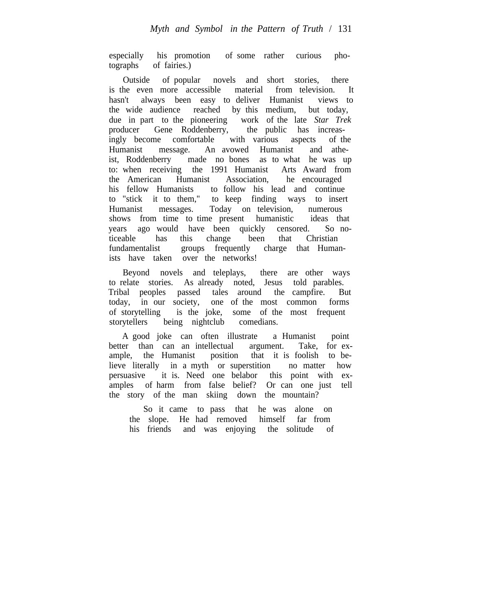especially his promotion of some rather curious photographs of fairies.)

Outside of popular novels and short stories, there is the even more accessible material from television. It hasn't always been easy to deliver Humanist views to the wide audience reached by this medium, but today, due in part to the pioneering work of the late *Star Trek* producer Gene Roddenberry, the public has increasingly become comfortable with various aspects of the Humanist message. An avowed Humanist and atheist, Roddenberry made no bones as to what he was up to: when receiving the 1991 Humanist Arts Award from the American Humanist Association, he encouraged his fellow Humanists to follow his lead and continue to "stick it to them," to keep finding ways to insert Humanist messages. Today on television, numerous shows from time to time present humanistic ideas that years ago would have been quickly censored. So noticeable has this change been that Christian fundamentalist groups frequently charge that Humanists have taken over the networks!

Beyond novels and teleplays, there are other ways to relate stories. As already noted, Jesus told parables. Tribal peoples passed tales around the campfire. But today, in our society, one of the most common forms of storytelling is the joke, some of the most frequent storytellers being nightclub comedians.

A good joke can often illustrate a Humanist point better than can an intellectual argument. Take, for example, the Humanist position that it is foolish to beposition that it is foolish to believe literally in a myth or superstition no matter how persuasive it is. Need one belabor this point with examples of harm from false belief? Or can one just tell the story of the man skiing down the mountain?

So it came to pass that he was alone on the slope. He had removed himself far from his friends and was enjoying the solitude of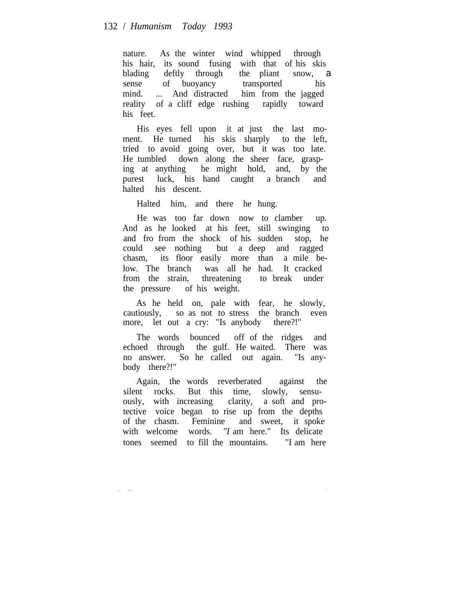nature. As the winter wind whipped through his hair, its sound fusing with that of his skis blading deftly through the pliant snow, a sense of buoyancy transported his<br>mind. ... And distracted him from the jagged mind. ... And distracted him from the jagged reality of a cliff edge rushing rapidly toward his feet.

His eyes fell upon it at just the last moment. He turned his skis sharply to the left, tried to avoid going over, but it was too late. He tumbled down along the sheer face, grasping at anything he might hold, and, by the purest luck, his hand caught a branch and halted his descent.

Halted him, and there he hung.

He was too far down now to clamber up. And as he looked at his feet, still swinging to and fro from the shock of his sudden stop, he could see nothing but a deep and ragged chasm, its floor easily more than a mile below. The branch was all he had. It cracked from the strain, threatening to break under the pressure of his weight.

As he held on, pale with fear, he slowly, cautiously, so as not to stress the branch even more, let out a cry: "Is anybody there?!"

The words bounced off of the ridges and echoed through the gulf. He waited. There was no answer. So he called out again. "Is anybody there?!"

Again, the words reverberated against the silent rocks. But this time, slowly, sensuously, with increasing clarity, a soft and protective voice began to rise up from the depths of the chasm. Feminine and sweet, it spoke with welcome words. *"I* am here." Its delicate tones seemed to fill the mountains. "I am here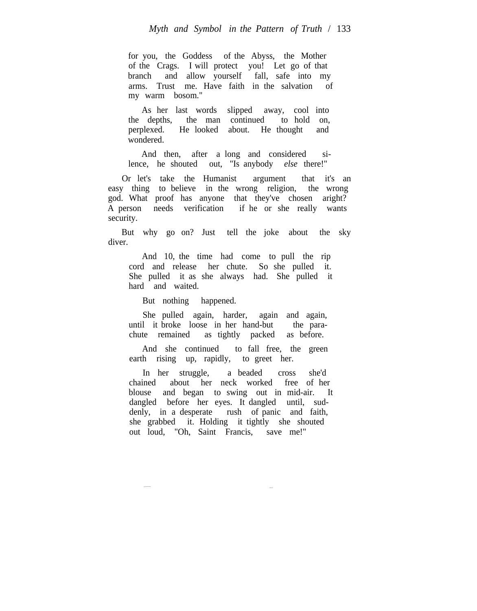for you, the Goddess of the Abyss, the Mother of the Crags. I will protect you! Let go of that branch and allow yourself fall, safe into my arms. Trust me. Have faith in the salvation of my warm bosom."

As her last words slipped away, cool into the depths, the man continued to hold on, perplexed. He looked about. He thought and wondered.

And then, after a long and considered silence, he shouted out, "Is anybody *else* there!"

Or let's take the Humanist argument that it's an easy thing to believe in the wrong religion, the wrong god. What proof has anyone that they've chosen aright? A person needs verification if he or she really wants security.

But why go on? Just tell the joke about the sky diver.

And 10, the time had come to pull the rip cord and release her chute. So she pulled it. She pulled it as she always had. She pulled it hard and waited.

But nothing happened.

She pulled again, harder, again and again, until it broke loose in her hand-but the parachute remained as tightly packed as before.

And she continued to fall free, the green earth rising up, rapidly, to greet her.

In her struggle, a beaded cross she'd chained about her neck worked free of her blouse and began to swing out in mid-air. It dangled before her eyes. It dangled until, suddenly, in a desperate rush of panic and faith, she grabbed it. Holding it tightly she shouted out loud, "Oh, Saint Francis, save me!"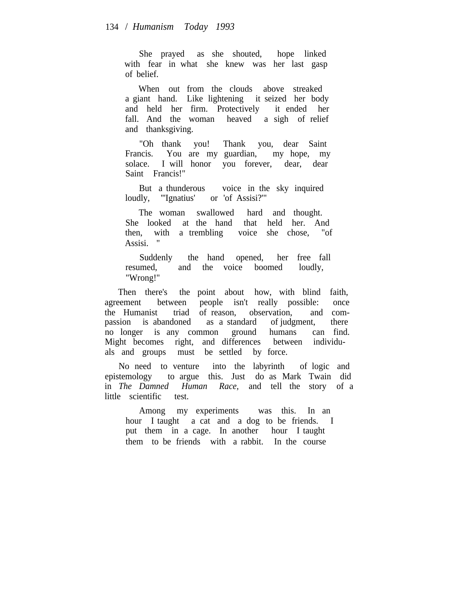She prayed as she shouted, hope linked with fear in what she knew was her last gasp of belief.

When out from the clouds above streaked a giant hand. Like lightening it seized her body and held her firm. Protectively it ended her fall. And the woman heaved a sigh of relief and thanksgiving.

"Oh thank you! Thank you, dear Saint Francis. You are my guardian, my hope, my solace. I will honor you forever, dear, dear Saint Francis!"

But a thunderous voice in the sky inquired loudly, "Ignatius' or 'of Assisi?"

The woman swallowed hard and thought. She looked at the hand that held her. And then, with a trembling voice she chose, "of Assisi. "

Suddenly the hand opened, her free fall resumed, and the voice boomed loudly, "Wrong!"

Then there's the point about how, with blind faith, agreement between people isn't really possible: once the Humanist triad of reason, observation, and compassion is abandoned as a standard of judgment, there no longer is any common ground humans can find. Might becomes right, and differences between individuals and groups must be settled by force.

No need to venture into the labyrinth of logic and epistemology to argue this. Just do as Mark Twain did in *The Damned Human Race,* and tell the story of a little scientific test.

Among my experiments was this. In an hour I taught a cat and a dog to be friends. I put them in a cage. In another hour I taught them to be friends with a rabbit. In the course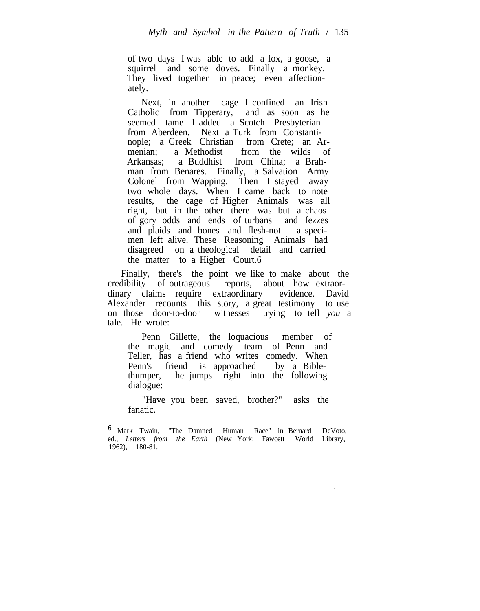of two days I was able to add a fox, a goose, a squirrel and some doves. Finally a monkey. They lived together in peace; even affectionately.

Next, in another cage I confined an Irish Catholic from Tipperary, and as soon as he seemed tame I added a Scotch Presbyterian from Aberdeen. Next a Turk from Constantinople; a Greek Christian from Crete; an Armenian; a Methodist from the wilds of Arkansas; a Buddhist from China; a Brahman from Benares. Finally, a Salvation Army Colonel from Wapping. Then I stayed away two whole days. When I came back to note results, the cage of Higher Animals was all right, but in the other there was but a chaos of gory odds and ends of turbans and fezzes and plaids and bones and flesh-not a specimen left alive. These Reasoning Animals had disagreed on a theological detail and carried the matter to a Higher Court.6

Finally, there's the point we like to make about the credibility of outrageous reports, about how extraordinary claims require extraordinary evidence. David Alexander recounts this story, a great testimony to use on those door-to-door witnesses trying to tell *you* a tale. He wrote:

Penn Gillette, the loquacious member of the magic and comedy team of Penn and Teller, has a friend who writes comedy. When<br>Penn's friend is approached by a Bible-Penn's friend is approached thumper, he jumps right into the following dialogue:

"Have you been saved, brother?" asks the fanatic.

-

--. -.-----

<sup>6</sup> Mark Twain, "The Damned Human Race" in Bernard DeVoto, ed., *Letters from the Earth* (New York: Fawcett World Library, 1962), 180-81.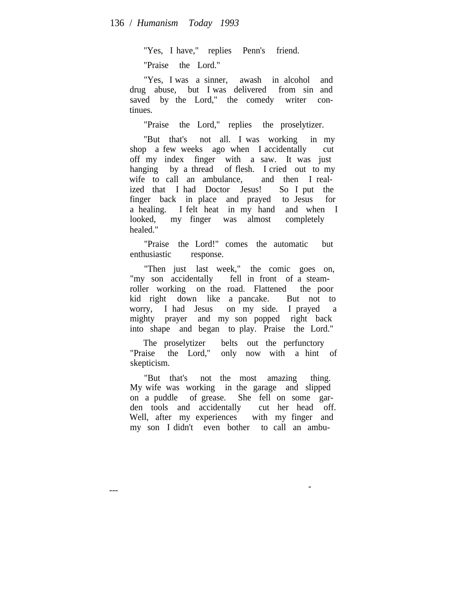"Yes, I have," replies Penn's friend.

"Praise the Lord."

"Yes, I was a sinner, awash in alcohol and drug abuse, but I was delivered from sin and saved by the Lord," the comedy writer continues.

"Praise the Lord," replies the proselytizer.

"But that's not all. I was working in my shop a few weeks ago when I accidentally cut off my index finger with a saw. It was just hanging by a thread of flesh. I cried out to my wife to call an ambulance, and then I realized that I had Doctor Jesus! So I put the finger back in place and prayed to Jesus for a healing. I felt heat in my hand and when I looked, my finger was almost completely healed."

"Praise the Lord!" comes the automatic but enthusiastic response.

"Then just last week," the comic goes on, "my son accidentally fell in front of a steamroller working on the road. Flattened the poor kid right down like a pancake. But not to worry, I had Jesus on my side. I prayed a mighty prayer and my son popped right back into shape and began to play. Praise the Lord."

The proselytizer belts out the perfunctory "Praise the Lord," only now with a hint of skepticism.

"But that's not the most amazing thing. My wife was working in the garage and slipped on a puddle of grease. She fell on some garden tools and accidentally cut her head off. Well, after my experiences with my finger and my son I didn't even bother to call an ambu-

-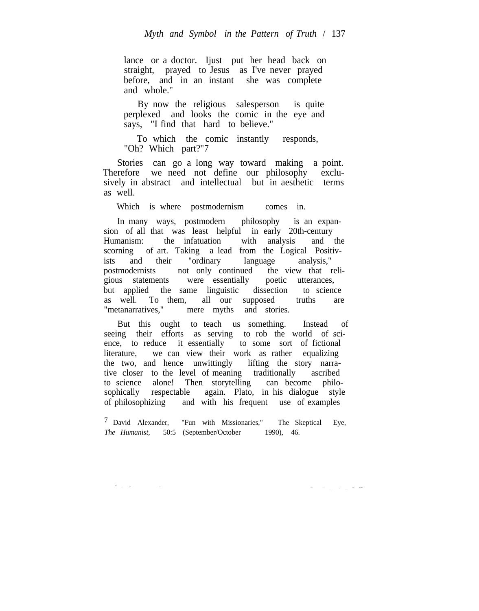lance or a doctor. Ijust put her head back on straight, prayed to Jesus as I've never prayed before, and in an instant she was complete and whole."

By now the religious salesperson is quite perplexed and looks the comic in the eye and says, "I find that hard to believe."

To which the comic instantly responds, "Oh? Which part?"7

Stories can go a long way toward making a point. Therefore we need not define our philosophy exclusively in abstract and intellectual but in aesthetic terms as well.

Which is where postmodernism comes in.

In many ways, postmodern philosophy is an expansion of all that was least helpful in early 20th-century Humanism: the infatuation with analysis and the scorning of art. Taking a lead from the Logical Positivists and their "ordinary language analysis," postmodernists not only continued the view that religious statements were essentially poetic utterances, but applied the same linguistic dissection to science as well. To them, all our supposed truths are "metanarratives," mere myths and stories.

But this ought to teach us something. Instead of seeing their efforts as serving to rob the world of science, to reduce it essentially to some sort of fictional literature, we can view their work as rather equalizing the two, and hence unwittingly lifting the story narrative closer to the level of meaning traditionally ascribed to science alone! Then storytelling can become philosophically respectable again. Plato, in his dialogue style of philosophizing and with his frequent use of examples

7 David Alexander, "Fun with Missionaries," The Skeptical Eye, *The Humanist,* 50:5 (September/October 1990), 46.

--- -. - -- -- --. -.---

-.. -

 $-$